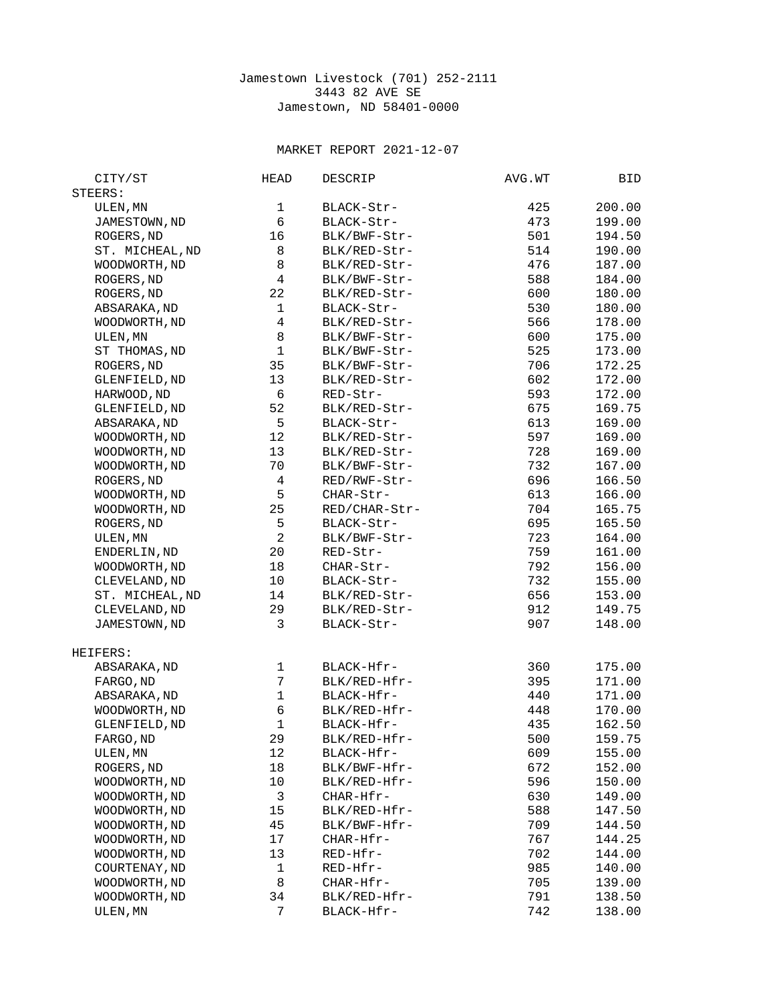## Jamestown Livestock (701) 252-2111 3443 82 AVE SE Jamestown, ND 58401-0000

## MARKET REPORT 2021-12-07

| CITY/ST         | <b>HEAD</b>              | <b>DESCRIP</b> | AVG.WT | BID    |
|-----------------|--------------------------|----------------|--------|--------|
| STEERS:         |                          |                |        |        |
| ULEN, MN        | 1                        | BLACK-Str-     | 425    | 200.00 |
| JAMESTOWN, ND   | 6                        | BLACK-Str-     | 473    | 199.00 |
| ROGERS, ND      | 16                       | BLK/BWF-Str-   | 501    | 194.50 |
| ST. MICHEAL, ND | 8                        | BLK/RED-Str-   | 514    | 190.00 |
| WOODWORTH, ND   | 8                        | BLK/RED-Str-   | 476    | 187.00 |
| ROGERS, ND      | $\overline{\mathbf{4}}$  | BLK/BWF-Str-   | 588    | 184.00 |
|                 | 22                       |                | 600    | 180.00 |
| ROGERS, ND      |                          | BLK/RED-Str-   |        |        |
| ABSARAKA, ND    | $\mathbf 1$              | BLACK-Str-     | 530    | 180.00 |
| WOODWORTH, ND   | $\overline{\mathcal{L}}$ | BLK/RED-Str-   | 566    | 178.00 |
| ULEN, MN        | 8                        | BLK/BWF-Str-   | 600    | 175.00 |
| ST THOMAS, ND   | $\mathbf{1}$             | BLK/BWF-Str-   | 525    | 173.00 |
| ROGERS, ND      | 35                       | BLK/BWF-Str-   | 706    | 172.25 |
| GLENFIELD, ND   | 13                       | BLK/RED-Str-   | 602    | 172.00 |
| HARWOOD, ND     | $\,6$                    | RED-Str-       | 593    | 172.00 |
| GLENFIELD, ND   | 52                       | BLK/RED-Str-   | 675    | 169.75 |
| ABSARAKA, ND    | 5                        | BLACK-Str-     | 613    | 169.00 |
| WOODWORTH, ND   | 12                       | BLK/RED-Str-   | 597    | 169.00 |
| WOODWORTH, ND   | 13                       | BLK/RED-Str-   | 728    | 169.00 |
| WOODWORTH, ND   | 70                       | BLK/BWF-Str-   | 732    | 167.00 |
| ROGERS, ND      | 4                        | RED/RWF-Str-   | 696    | 166.50 |
| WOODWORTH, ND   | 5                        | CHAR-Str-      | 613    | 166.00 |
| WOODWORTH, ND   | 25                       | RED/CHAR-Str-  | 704    | 165.75 |
| ROGERS, ND      | 5                        | BLACK-Str-     | 695    | 165.50 |
| ULEN, MN        | $\boldsymbol{2}$         | BLK/BWF-Str-   | 723    | 164.00 |
| ENDERLIN, ND    | 20                       | RED-Str-       | 759    | 161.00 |
| WOODWORTH, ND   | 18                       | CHAR-Str-      | 792    | 156.00 |
| CLEVELAND, ND   | 10                       | BLACK-Str-     | 732    | 155.00 |
| ST. MICHEAL, ND | 14                       | BLK/RED-Str-   | 656    | 153.00 |
| CLEVELAND, ND   | 29                       | BLK/RED-Str-   | 912    | 149.75 |
| JAMESTOWN, ND   | 3                        | BLACK-Str-     | 907    | 148.00 |
|                 |                          |                |        |        |
| HEIFERS:        |                          |                |        |        |
| ABSARAKA, ND    | $\mathbf 1$              | BLACK-Hfr-     | 360    | 175.00 |
| FARGO, ND       | $\overline{7}$           | BLK/RED-Hfr-   | 395    | 171.00 |
| ABSARAKA, ND    | $\mathbf{1}$             | BLACK-Hfr-     | 440    | 171.00 |
| WOODWORTH, ND   | 6                        | BLK/RED-Hfr-   | 448    | 170.00 |
| GLENFIELD, ND   | $\mathbf{1}$             | BLACK-Hfr-     | 435    | 162.50 |
| FARGO, ND       | 29                       | BLK/RED-Hfr-   | 500    | 159.75 |
| ULEN, MN        | 12                       | BLACK-Hfr-     | 609    | 155.00 |
| ROGERS, ND      | 18                       | BLK/BWF-Hfr-   | 672    | 152.00 |
| WOODWORTH, ND   | 10                       | BLK/RED-Hfr-   | 596    | 150.00 |
| WOODWORTH, ND   | 3                        | CHAR-Hfr-      | 630    | 149.00 |
| WOODWORTH, ND   | 15                       | BLK/RED-Hfr-   | 588    | 147.50 |
| WOODWORTH, ND   | 45                       | BLK/BWF-Hfr-   | 709    | 144.50 |
| WOODWORTH, ND   | 17                       | CHAR-Hfr-      | 767    | 144.25 |
| WOODWORTH, ND   | 13                       | RED-Hfr-       | 702    | 144.00 |
| COURTENAY, ND   | 1                        | RED-Hfr-       | 985    | 140.00 |
| WOODWORTH, ND   | 8                        | CHAR-Hfr-      | 705    | 139.00 |
| WOODWORTH, ND   | 34                       | BLK/RED-Hfr-   | 791    | 138.50 |
| ULEN, MN        | 7                        | BLACK-Hfr-     | 742    | 138.00 |
|                 |                          |                |        |        |